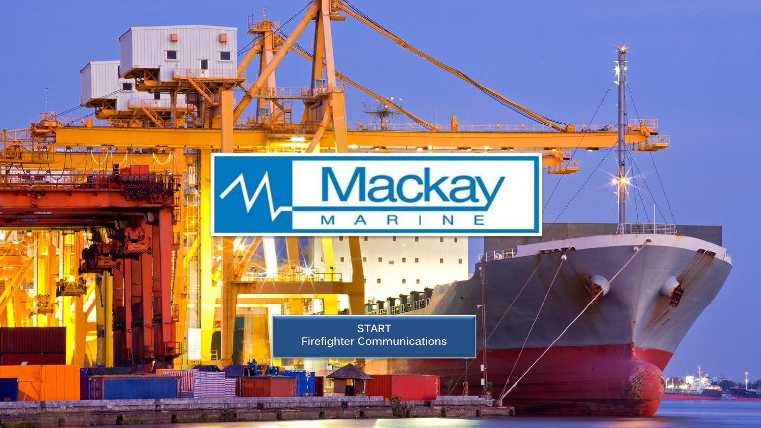<span id="page-0-0"></span>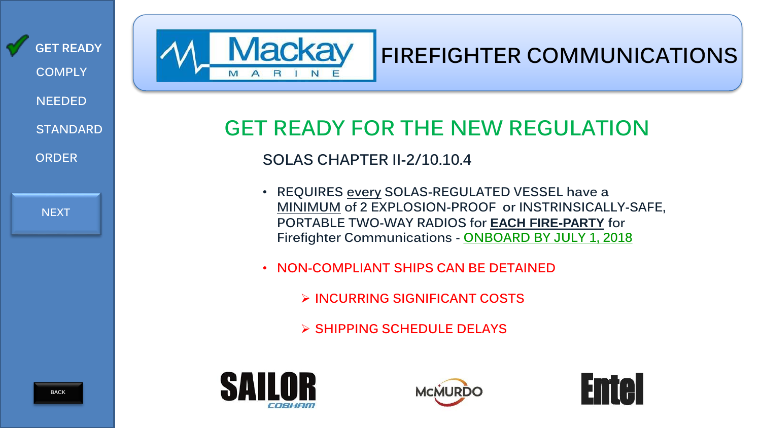<span id="page-1-0"></span>

| <b>GET READY</b><br><b>COMPLY</b><br><b>NEEDED</b><br><b>STANDARD</b> |  |
|-----------------------------------------------------------------------|--|
| <b>ORDER</b>                                                          |  |
| <b>NEXT</b>                                                           |  |
|                                                                       |  |



# **FIREFIGHTER COMMUNICATIONS**

# **GET READY FOR THE NEW REGULATION**

## **SOLAS CHAPTER II-2/10.10.4**

- **REQUIRES every SOLAS-REGULATED VESSEL have a MINIMUM of 2 EXPLOSION-PROOF or INSTRINSICALLY-SAFE, PORTABLE TWO-WAY RADIOS for EACH FIRE-PARTY for Firefighter Communications - ONBOARD BY JULY 1, 2018**
- **NON-COMPLIANT SHIPS CAN BE DETAINED**
	- ➢ **INCURRING SIGNIFICANT COSTS**
	- ➢ **SHIPPING SCHEDULE DELAYS**





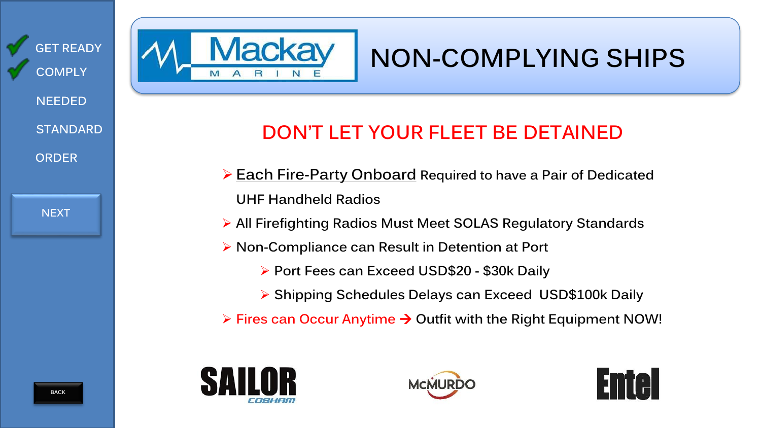<span id="page-2-0"></span>

**[NEXT](#page-3-0)**

# **NON-COMPLYING SHIPS**

# **DON'T LET YOUR FLEET BE DETAINED**

- ➢ **Each Fire-Party Onboard Required to have a Pair of Dedicated UHF Handheld Radios**
- ➢ **All Firefighting Radios Must Meet SOLAS Regulatory Standards**
- ➢ **Non-Compliance can Result in Detention at Port**
	- ➢ **Port Fees can Exceed USD\$20 - \$30k Daily**
	- ➢ **Shipping Schedules Delays can Exceed USD\$100k Daily**
- ➢ **Fires can Occur Anytime Outfit with the Right Equipment NOW!**



1acka



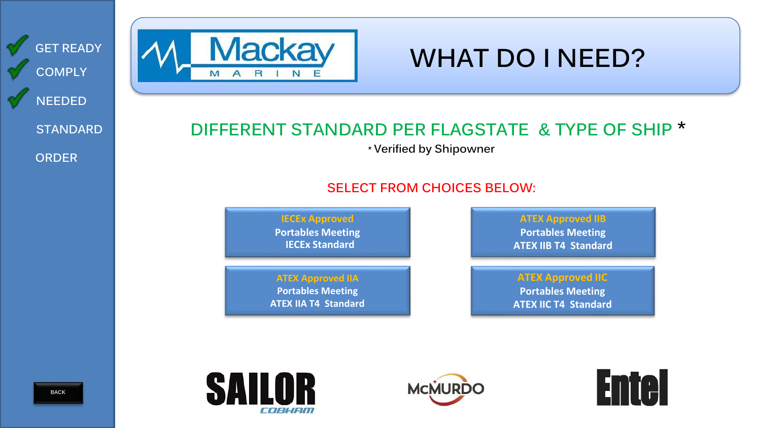<span id="page-3-0"></span>

| <b>GET READY</b><br><b>COMPLY</b>                | <b>Mackay</b><br>M A R<br>N                                                         | <b>WHAT DO I NEED?</b>                                                                                                   |  |
|--------------------------------------------------|-------------------------------------------------------------------------------------|--------------------------------------------------------------------------------------------------------------------------|--|
| <b>NEEDED</b><br><b>STANDARD</b><br><b>ORDER</b> | DIFFERENT STANDARD PER FLAGSTATE & TYPE OF SHIP *<br>* Verified by Shipowner        |                                                                                                                          |  |
|                                                  | <b>IECEx Approved</b><br><b>Portables Meeting</b><br><b>IECEx Standard</b>          | <b>SELECT FROM CHOICES BELOW:</b><br><b>ATEX Approved IIB</b><br><b>Portables Meeting</b><br><b>ATEX IIB T4 Standard</b> |  |
|                                                  | <b>ATEX Approved IIA</b><br><b>Portables Meeting</b><br><b>ATEX IIA T4 Standard</b> | <b>ATEX Approved IIC</b><br><b>Portables Meeting</b><br><b>ATEX IIC T4 Standard</b>                                      |  |
| <b>BACK</b>                                      | SAILOR                                                                              | <b>Enter</b><br><b>MCMURDO</b>                                                                                           |  |

COBHAM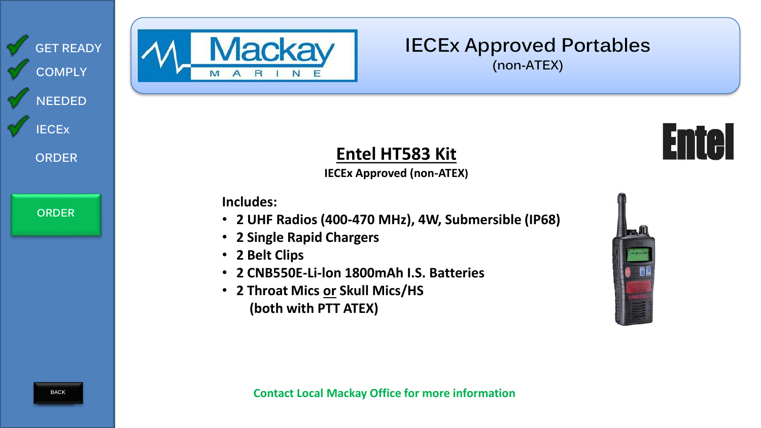<span id="page-4-0"></span>



# **IECEx Approved Portables (non-ATEX)**



**Entel HT583 Kit IECEx Approved (non-ATEX)**

**Includes:** 

- **2 UHF Radios (400-470 MHz), 4W, Submersible (IP68)**
- **2 Single Rapid Chargers**
- **2 Belt Clips**
- **2 CNB550E-Li-lon 1800mAh I.S. Batteries**
- **2 Throat Mics or Skull Mics/HS (both with PTT ATEX)**

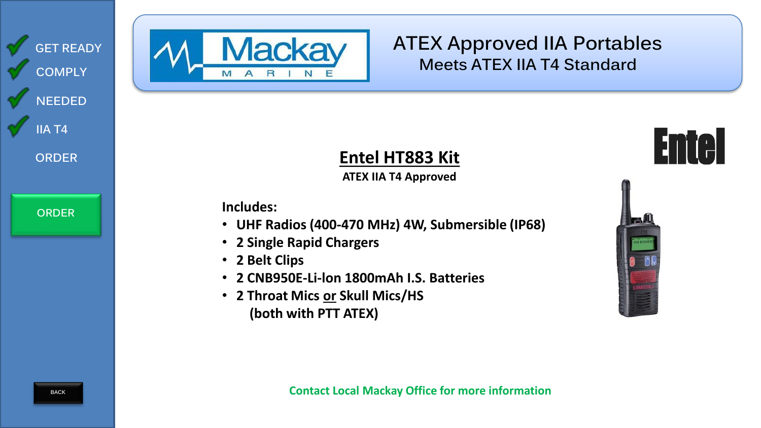<span id="page-5-0"></span>



# **ATEX Approved IIA Portables Meets ATEX IIA T4 Standard**

### **Entel HT883 Kit ATEX IIA T4 Approved**

**Includes:** 

- **UHF Radios (400-470 MHz) 4W, Submersible (IP68)**
- **2 Single Rapid Chargers**
- **2 Belt Clips**
- **2 CNB950E-Li-lon 1800mAh I.S. Batteries**
- **2 Throat Mics or Skull Mics/HS (both with PTT ATEX)**



**Entel**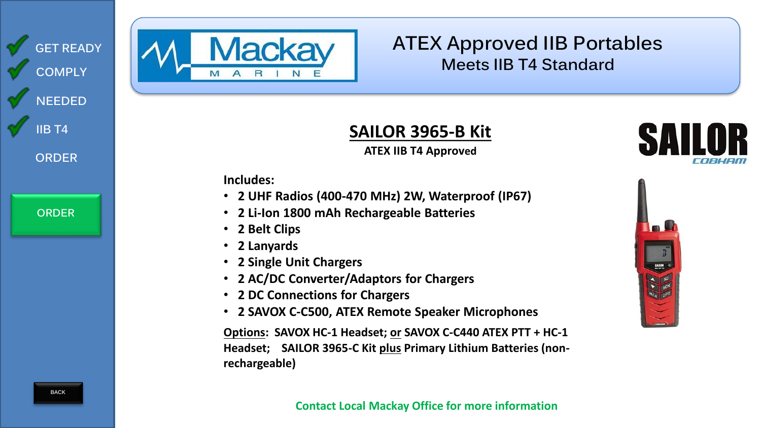<span id="page-6-0"></span>



# **ATEX Approved IIB Portables Meets IIB T4 Standard**

 $rac{2}{5}$ 

# **SAILOR 3965-B Kit**

### **ATEX IIB T4 Approved**

**Includes:** 

- **2 UHF Radios (400-470 MHz) 2W, Waterproof (IP67)**
- **2 Li-Ion 1800 mAh Rechargeable Batteries**
- **2 Belt Clips**
- **2 Lanyards**
- **2 Single Unit Chargers**
- **2 AC/DC Converter/Adaptors for Chargers**
- **2 DC Connections for Chargers**
- **2 SAVOX C-C500, ATEX Remote Speaker Microphones**

**Options: SAVOX HC-1 Headset; or SAVOX C-C440 ATEX PTT + HC-1 Headset; SAILOR 3965-C Kit plus Primary Lithium Batteries (nonrechargeable)**

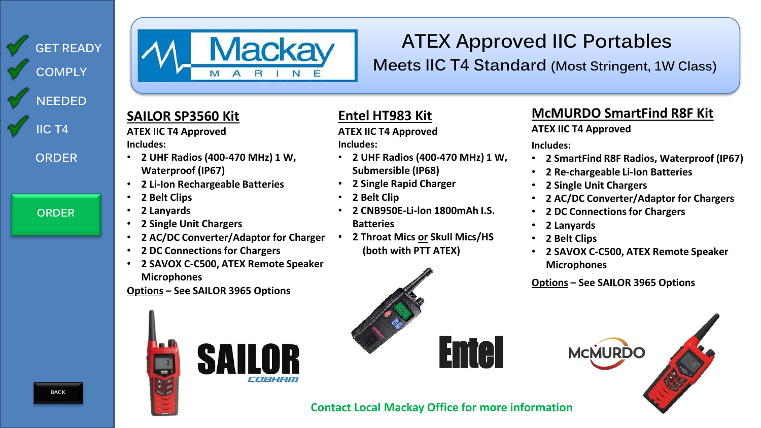<span id="page-7-0"></span>

**[ORDER](#page-8-0)**



# **ATEX Approved IIC Portables**

**Meets IIC T4 Standard (Most Stringent, 1W Class)**

### **SAILOR SP3560 Kit**

**ATEX IIC T4 Approved Includes:** 

- **2 UHF Radios (400-470 MHz) 1 W, Waterproof (IP67)**
- **2 Li-Ion Rechargeable Batteries**
- **2 Belt Clips**
- **2 Lanyards**
- **2 Single Unit Chargers**
- **2 AC/DC Converter/Adaptor for Charger**
- **2 DC Connections for Chargers**
- **2 SAVOX C-C500, ATEX Remote Speaker Microphones**

**Options – See SAILOR 3965 Options**



### **Entel HT983 Kit**

**ATEX IIC T4 Approved Includes:**

- **2 UHF Radios (400-470 MHz) 1 W, Submersible (IP68)**
- **2 Single Rapid Charger**
- **2 Belt Clip**
- **2 CNB950E-Li-lon 1800mAh I.S. Batteries**
- **2 Throat Mics or Skull Mics/HS (both with PTT ATEX)**

# **Entel**

### **McMURDO SmartFind R8F Kit**

**ATEX IIC T4 Approved**

**Includes:** 

- **2 SmartFind R8F Radios, Waterproof (IP67)**
- **2 Re-chargeable Li-Ion Batteries**
- **2 Single Unit Chargers**
- **2 AC/DC Converter/Adaptor for Chargers**
- **2 DC Connections for Chargers**
- **2 Lanyards**
- **2 Belt Clips**
- **2 SAVOX C-C500, ATEX Remote Speaker Microphones**

**Options – See SAILOR 3965 Options**



**Contact Local Mackay Office for more information**